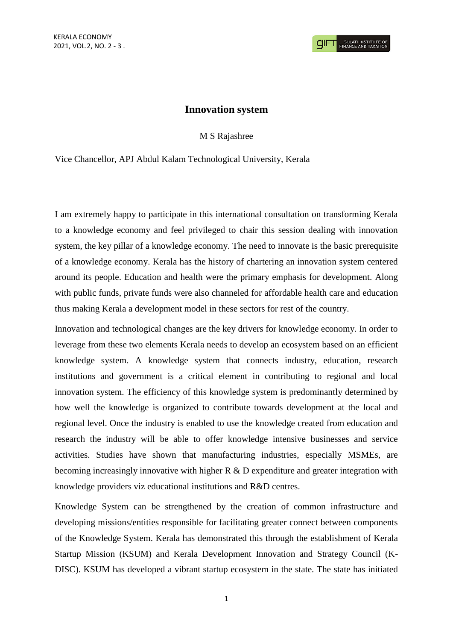## **Innovation system**

M S Rajashree

Vice Chancellor, APJ Abdul Kalam Technological University, Kerala

I am extremely happy to participate in this international consultation on transforming Kerala to a knowledge economy and feel privileged to chair this session dealing with innovation system, the key pillar of a knowledge economy. The need to innovate is the basic prerequisite of a knowledge economy. Kerala has the history of chartering an innovation system centered around its people. Education and health were the primary emphasis for development. Along with public funds, private funds were also channeled for affordable health care and education thus making Kerala a development model in these sectors for rest of the country.

Innovation and technological changes are the key drivers for knowledge economy. In order to leverage from these two elements Kerala needs to develop an ecosystem based on an efficient knowledge system. A knowledge system that connects industry, education, research institutions and government is a critical element in contributing to regional and local innovation system. The efficiency of this knowledge system is predominantly determined by how well the knowledge is organized to contribute towards development at the local and regional level. Once the industry is enabled to use the knowledge created from education and research the industry will be able to offer knowledge intensive businesses and service activities. Studies have shown that manufacturing industries, especially MSMEs, are becoming increasingly innovative with higher R & D expenditure and greater integration with knowledge providers viz educational institutions and R&D centres.

Knowledge System can be strengthened by the creation of common infrastructure and developing missions/entities responsible for facilitating greater connect between components of the Knowledge System. Kerala has demonstrated this through the establishment of Kerala Startup Mission (KSUM) and Kerala Development Innovation and Strategy Council (K-DISC). KSUM has developed a vibrant startup ecosystem in the state. The state has initiated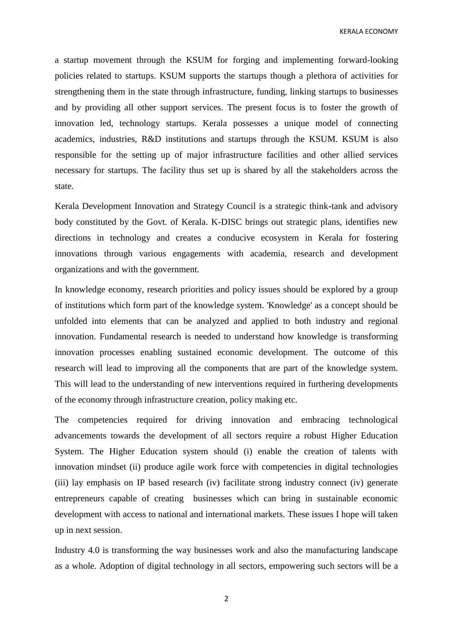KERALA ECONOMY

a startup movement through the KSUM for forging and implementing forward-looking policies related to startups. KSUM supports the startups though a plethora of activities for strengthening them in the state through infrastructure, funding, linking startups to businesses and by providing all other support services. The present focus is to foster the growth of innovation led, technology startups. Kerala possesses a unique model of connecting academics, industries, R&D institutions and startups through the KSUM. KSUM is also responsible for the setting up of major infrastructure facilities and other allied services necessary for startups. The facility thus set up is shared by all the stakeholders across the state.

Kerala Development Innovation and Strategy Council is a strategic think-tank and advisory body constituted by the Govt. of Kerala. K-DISC brings out strategic plans, identifies new directions in technology and creates a conducive ecosystem in Kerala for fostering innovations through various engagements with academia, research and development organizations and with the government.

In knowledge economy, research priorities and policy issues should be explored by a group of institutions which form part of the knowledge system. 'Knowledge' as a concept should be unfolded into elements that can be analyzed and applied to both industry and regional innovation. Fundamental research is needed to understand how knowledge is transforming innovation processes enabling sustained economic development. The outcome of this research will lead to improving all the components that are part of the knowledge system. This will lead to the understanding of new interventions required in furthering developments of the economy through infrastructure creation, policy making etc.

The competencies required for driving innovation and embracing technological advancements towards the development of all sectors require a robust Higher Education System. The Higher Education system should (i) enable the creation of talents with innovation mindset (ii) produce agile work force with competencies in digital technologies (iii) lay emphasis on IP based research (iv) facilitate strong industry connect (iv) generate entrepreneurs capable of creating businesses which can bring in sustainable economic development with access to national and international markets. These issues I hope will taken up in next session.

Industry 4.0 is transforming the way businesses work and also the manufacturing landscape as a whole. Adoption of digital technology in all sectors, empowering such sectors will be a

2